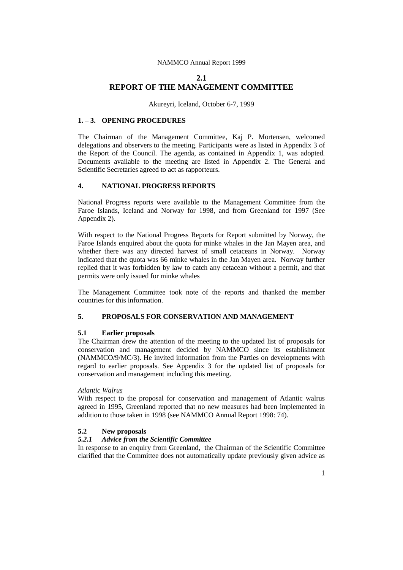# **2.1 REPORT OF THE MANAGEMENT COMMITTEE**

Akureyri, Iceland, October 6-7, 1999

# **1. – 3. OPENING PROCEDURES**

The Chairman of the Management Committee, Kaj P. Mortensen, welcomed delegations and observers to the meeting. Participants were as listed in Appendix 3 of the Report of the Council. The agenda, as contained in Appendix 1, was adopted. Documents available to the meeting are listed in Appendix 2. The General and Scientific Secretaries agreed to act as rapporteurs.

### **4. NATIONAL PROGRESS REPORTS**

National Progress reports were available to the Management Committee from the Faroe Islands, Iceland and Norway for 1998, and from Greenland for 1997 (See Appendix 2).

With respect to the National Progress Reports for Report submitted by Norway, the Faroe Islands enquired about the quota for minke whales in the Jan Mayen area, and whether there was any directed harvest of small cetaceans in Norway. Norway indicated that the quota was 66 minke whales in the Jan Mayen area. Norway further replied that it was forbidden by law to catch any cetacean without a permit, and that permits were only issued for minke whales

The Management Committee took note of the reports and thanked the member countries for this information.

# **5. PROPOSALS FOR CONSERVATION AND MANAGEMENT**

### **5.1 Earlier proposals**

The Chairman drew the attention of the meeting to the updated list of proposals for conservation and management decided by NAMMCO since its establishment (NAMMCO/9/MC/3). He invited information from the Parties on developments with regard to earlier proposals. See Appendix 3 for the updated list of proposals for conservation and management including this meeting.

## *Atlantic Walrus*

With respect to the proposal for conservation and management of Atlantic walrus agreed in 1995, Greenland reported that no new measures had been implemented in addition to those taken in 1998 (see NAMMCO Annual Report 1998: 74).

# **5.2 New proposals**

# *5.2.1 Advice from the Scientific Committee*

In response to an enquiry from Greenland, the Chairman of the Scientific Committee clarified that the Committee does not automatically update previously given advice as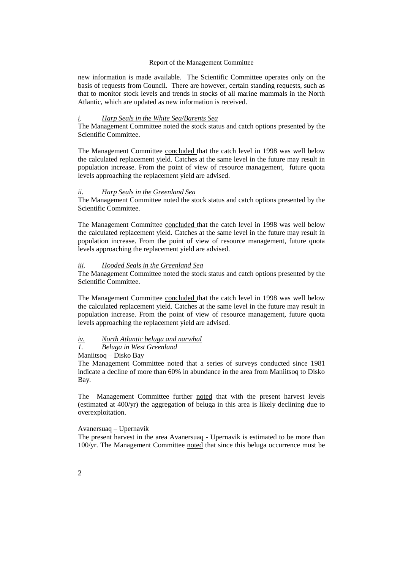new information is made available. The Scientific Committee operates only on the basis of requests from Council. There are however, certain standing requests, such as that to monitor stock levels and trends in stocks of all marine mammals in the North Atlantic, which are updated as new information is received.

### *i. Harp Seals in the White Sea/Barents Sea*

The Management Committee noted the stock status and catch options presented by the Scientific Committee.

The Management Committee concluded that the catch level in 1998 was well below the calculated replacement yield. Catches at the same level in the future may result in population increase. From the point of view of resource management, future quota levels approaching the replacement yield are advised.

### *ii. Harp Seals in the Greenland Sea*

The Management Committee noted the stock status and catch options presented by the Scientific Committee.

The Management Committee concluded that the catch level in 1998 was well below the calculated replacement yield. Catches at the same level in the future may result in population increase. From the point of view of resource management, future quota levels approaching the replacement yield are advised.

## *iii. Hooded Seals in the Greenland Sea*

The Management Committee noted the stock status and catch options presented by the Scientific Committee.

The Management Committee concluded that the catch level in 1998 was well below the calculated replacement yield. Catches at the same level in the future may result in population increase. From the point of view of resource management, future quota levels approaching the replacement yield are advised.

#### *iv. North Atlantic beluga and narwhal*

### *1. Beluga in West Greenland*

Maniitsoq – Disko Bay

The Management Committee noted that a series of surveys conducted since 1981 indicate a decline of more than 60% in abundance in the area from Maniitsoq to Disko Bay.

The Management Committee further noted that with the present harvest levels (estimated at 400/yr) the aggregation of beluga in this area is likely declining due to overexploitation.

## Avanersuaq – Upernavik

The present harvest in the area Avanersuaq - Upernavik is estimated to be more than 100/yr. The Management Committee noted that since this beluga occurrence must be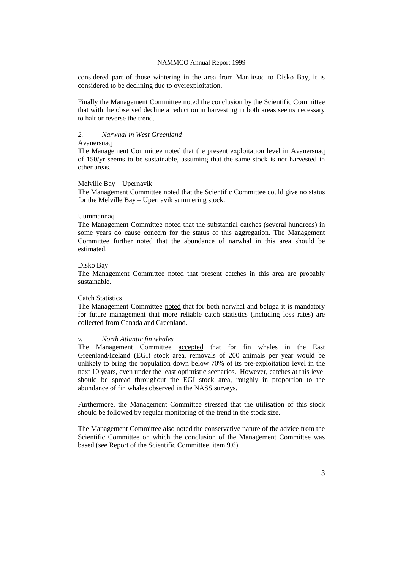considered part of those wintering in the area from Maniitsoq to Disko Bay, it is considered to be declining due to overexploitation.

Finally the Management Committee noted the conclusion by the Scientific Committee that with the observed decline a reduction in harvesting in both areas seems necessary to halt or reverse the trend.

#### *2. Narwhal in West Greenland*

#### Avanersuaq

The Management Committee noted that the present exploitation level in Avanersuaq of 150/yr seems to be sustainable, assuming that the same stock is not harvested in other areas.

#### Melville Bay – Upernavik

The Management Committee noted that the Scientific Committee could give no status for the Melville Bay – Upernavik summering stock.

#### Uummannaq

The Management Committee noted that the substantial catches (several hundreds) in some years do cause concern for the status of this aggregation. The Management Committee further noted that the abundance of narwhal in this area should be estimated.

#### Disko Bay

The Management Committee noted that present catches in this area are probably sustainable.

### Catch Statistics

The Management Committee noted that for both narwhal and beluga it is mandatory for future management that more reliable catch statistics (including loss rates) are collected from Canada and Greenland.

## *v. North Atlantic fin whales*

The Management Committee accepted that for fin whales in the East Greenland/Iceland (EGI) stock area, removals of 200 animals per year would be unlikely to bring the population down below 70% of its pre-exploitation level in the next 10 years, even under the least optimistic scenarios. However, catches at this level should be spread throughout the EGI stock area, roughly in proportion to the abundance of fin whales observed in the NASS surveys.

Furthermore, the Management Committee stressed that the utilisation of this stock should be followed by regular monitoring of the trend in the stock size.

The Management Committee also noted the conservative nature of the advice from the Scientific Committee on which the conclusion of the Management Committee was based (see Report of the Scientific Committee, item 9.6).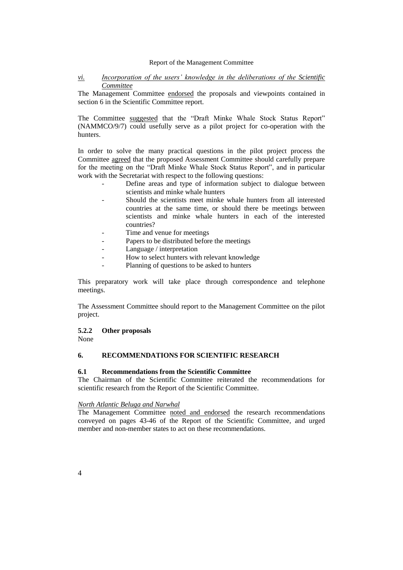# *vi. Incorporation of the users' knowledge in the deliberations of the Scientific Committee*

The Management Committee endorsed the proposals and viewpoints contained in section 6 in the Scientific Committee report.

The Committee suggested that the "Draft Minke Whale Stock Status Report" (NAMMCO/9/7) could usefully serve as a pilot project for co-operation with the hunters.

In order to solve the many practical questions in the pilot project process the Committee agreed that the proposed Assessment Committee should carefully prepare for the meeting on the "Draft Minke Whale Stock Status Report", and in particular work with the Secretariat with respect to the following questions:

- Define areas and type of information subject to dialogue between scientists and minke whale hunters
- Should the scientists meet minke whale hunters from all interested countries at the same time, or should there be meetings between scientists and minke whale hunters in each of the interested countries?
- Time and venue for meetings
- Papers to be distributed before the meetings
- Language / interpretation
- How to select hunters with relevant knowledge
- Planning of questions to be asked to hunters

This preparatory work will take place through correspondence and telephone meetings.

The Assessment Committee should report to the Management Committee on the pilot project.

### **5.2.2 Other proposals**

None

# **6. RECOMMENDATIONS FOR SCIENTIFIC RESEARCH**

# **6.1 Recommendations from the Scientific Committee**

The Chairman of the Scientific Committee reiterated the recommendations for scientific research from the Report of the Scientific Committee.

# *North Atlantic Beluga and Narwhal*

The Management Committee noted and endorsed the research recommendations conveyed on pages 43-46 of the Report of the Scientific Committee, and urged member and non-member states to act on these recommendations.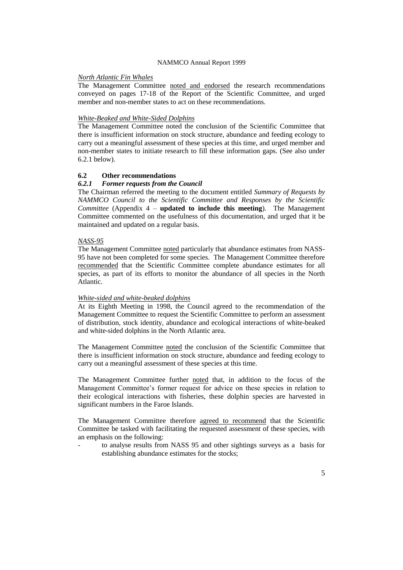### *North Atlantic Fin Whales*

The Management Committee noted and endorsed the research recommendations conveyed on pages 17-18 of the Report of the Scientific Committee, and urged member and non-member states to act on these recommendations.

## *White-Beaked and White-Sided Dolphins*

The Management Committee noted the conclusion of the Scientific Committee that there is insufficient information on stock structure, abundance and feeding ecology to carry out a meaningful assessment of these species at this time, and urged member and non-member states to initiate research to fill these information gaps. (See also under 6.2.1 below).

# **6.2 Other recommendations**

#### *6.2.1 Former requests from the Council*

The Chairman referred the meeting to the document entitled *Summary of Requests by NAMMCO Council to the Scientific Committee and Responses by the Scientific Committee* (Appendix 4 – **updated to include this meeting**). The Management Committee commented on the usefulness of this documentation, and urged that it be maintained and updated on a regular basis.

#### *NASS-95*

The Management Committee noted particularly that abundance estimates from NASS-95 have not been completed for some species. The Management Committee therefore recommended that the Scientific Committee complete abundance estimates for all species, as part of its efforts to monitor the abundance of all species in the North Atlantic.

#### *White-sided and white-beaked dolphins*

At its Eighth Meeting in 1998, the Council agreed to the recommendation of the Management Committee to request the Scientific Committee to perform an assessment of distribution, stock identity, abundance and ecological interactions of white-beaked and white-sided dolphins in the North Atlantic area.

The Management Committee noted the conclusion of the Scientific Committee that there is insufficient information on stock structure, abundance and feeding ecology to carry out a meaningful assessment of these species at this time.

The Management Committee further noted that, in addition to the focus of the Management Committee's former request for advice on these species in relation to their ecological interactions with fisheries, these dolphin species are harvested in significant numbers in the Faroe Islands.

The Management Committee therefore agreed to recommend that the Scientific Committee be tasked with facilitating the requested assessment of these species, with an emphasis on the following:

to analyse results from NASS 95 and other sightings surveys as a basis for establishing abundance estimates for the stocks;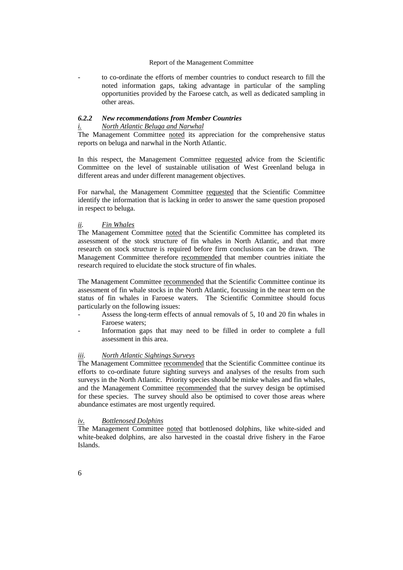to co-ordinate the efforts of member countries to conduct research to fill the noted information gaps, taking advantage in particular of the sampling opportunities provided by the Faroese catch, as well as dedicated sampling in other areas.

## *6.2.2 New recommendations from Member Countries i. North Atlantic Beluga and Narwhal*

The Management Committee noted its appreciation for the comprehensive status reports on beluga and narwhal in the North Atlantic.

In this respect, the Management Committee requested advice from the Scientific Committee on the level of sustainable utilisation of West Greenland beluga in different areas and under different management objectives.

For narwhal, the Management Committee requested that the Scientific Committee identify the information that is lacking in order to answer the same question proposed in respect to beluga.

#### *ii. Fin Whales*

The Management Committee noted that the Scientific Committee has completed its assessment of the stock structure of fin whales in North Atlantic, and that more research on stock structure is required before firm conclusions can be drawn. The Management Committee therefore recommended that member countries initiate the research required to elucidate the stock structure of fin whales.

The Management Committee recommended that the Scientific Committee continue its assessment of fin whale stocks in the North Atlantic, focussing in the near term on the status of fin whales in Faroese waters. The Scientific Committee should focus particularly on the following issues:

- Assess the long-term effects of annual removals of 5, 10 and 20 fin whales in Faroese waters;
- Information gaps that may need to be filled in order to complete a full assessment in this area.

# *iii. North Atlantic Sightings Surveys*

The Management Committee recommended that the Scientific Committee continue its efforts to co-ordinate future sighting surveys and analyses of the results from such surveys in the North Atlantic. Priority species should be minke whales and fin whales, and the Management Committee recommended that the survey design be optimised for these species. The survey should also be optimised to cover those areas where abundance estimates are most urgently required.

# *iv. Bottlenosed Dolphins*

The Management Committee noted that bottlenosed dolphins, like white-sided and white-beaked dolphins, are also harvested in the coastal drive fishery in the Faroe Islands.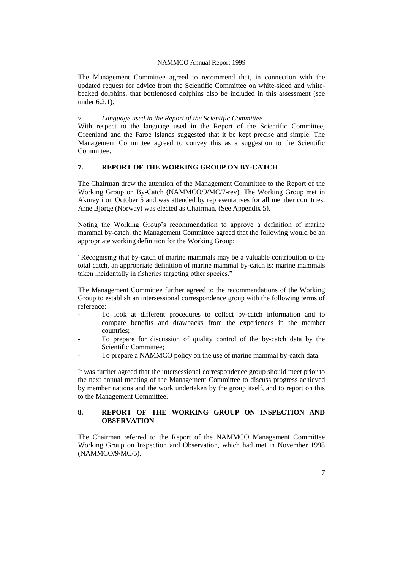The Management Committee agreed to recommend that, in connection with the updated request for advice from the Scientific Committee on white-sided and whitebeaked dolphins, that bottlenosed dolphins also be included in this assessment (see under 6.2.1).

## **Language used in the Report of the Scientific Committee**

With respect to the language used in the Report of the Scientific Committee, Greenland and the Faroe Islands suggested that it be kept precise and simple. The Management Committee agreed to convey this as a suggestion to the Scientific **Committee** 

# **7. REPORT OF THE WORKING GROUP ON BY-CATCH**

The Chairman drew the attention of the Management Committee to the Report of the Working Group on By-Catch (NAMMCO/9/MC/7-rev). The Working Group met in Akureyri on October 5 and was attended by representatives for all member countries. Arne Bjørge (Norway) was elected as Chairman. (See Appendix 5).

Noting the Working Group's recommendation to approve a definition of marine mammal by-catch, the Management Committee agreed that the following would be an appropriate working definition for the Working Group:

"Recognising that by-catch of marine mammals may be a valuable contribution to the total catch, an appropriate definition of marine mammal by-catch is: marine mammals taken incidentally in fisheries targeting other species."

The Management Committee further agreed to the recommendations of the Working Group to establish an intersessional correspondence group with the following terms of reference:

- To look at different procedures to collect by-catch information and to compare benefits and drawbacks from the experiences in the member countries;
- To prepare for discussion of quality control of the by-catch data by the Scientific Committee;
- To prepare a NAMMCO policy on the use of marine mammal by-catch data.

It was further agreed that the intersessional correspondence group should meet prior to the next annual meeting of the Management Committee to discuss progress achieved by member nations and the work undertaken by the group itself, and to report on this to the Management Committee.

# **8. REPORT OF THE WORKING GROUP ON INSPECTION AND OBSERVATION**

The Chairman referred to the Report of the NAMMCO Management Committee Working Group on Inspection and Observation, which had met in November 1998 (NAMMCO/9/MC/5).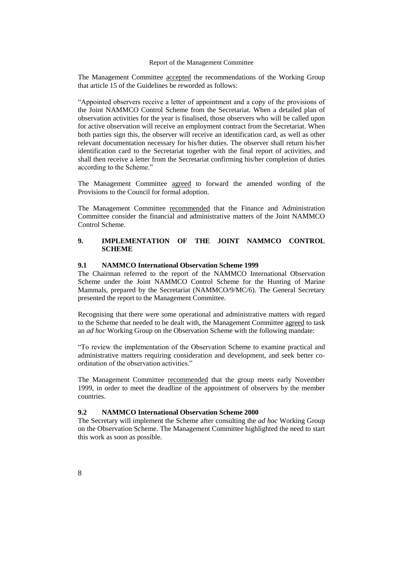The Management Committee accepted the recommendations of the Working Group that article 15 of the Guidelines be reworded as follows:

"Appointed observers receive a letter of appointment and a copy of the provisions of the Joint NAMMCO Control Scheme from the Secretariat. When a detailed plan of observation activities for the year is finalised, those observers who will be called upon for active observation will receive an employment contract from the Secretariat. When both parties sign this, the observer will receive an identification card, as well as other relevant documentation necessary for his/her duties. The observer shall return his/her identification card to the Secretariat together with the final report of activities, and shall then receive a letter from the Secretariat confirming his/her completion of duties according to the Scheme."

The Management Committee agreed to forward the amended wording of the Provisions to the Council for formal adoption.

The Management Committee recommended that the Finance and Administration Committee consider the financial and administrative matters of the Joint NAMMCO Control Scheme.

# **9. IMPLEMENTATION OF THE JOINT NAMMCO CONTROL SCHEME**

# **9.1 NAMMCO International Observation Scheme 1999**

The Chairman referred to the report of the NAMMCO International Observation Scheme under the Joint NAMMCO Control Scheme for the Hunting of Marine Mammals, prepared by the Secretariat (NAMMCO/9/MC/6). The General Secretary presented the report to the Management Committee.

Recognising that there were some operational and administrative matters with regard to the Scheme that needed to be dealt with, the Management Committee agreed to task an *ad hoc* Working Group on the Observation Scheme with the following mandate:

"To review the implementation of the Observation Scheme to examine practical and administrative matters requiring consideration and development, and seek better coordination of the observation activities."

The Management Committee recommended that the group meets early November 1999, in order to meet the deadline of the appointment of observers by the member countries.

# **9.2 NAMMCO International Observation Scheme 2000**

The Secretary will implement the Scheme after consulting the *ad hoc* Working Group on the Observation Scheme. The Management Committee highlighted the need to start this work as soon as possible.